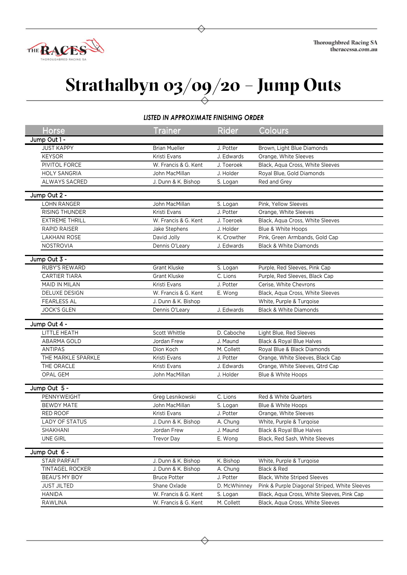

## **Strathalbyn 03/09/20 – Jump Outs**

## *LISTED IN APPROXIMATE FINISHING ORDER*

| <b>Horse</b>                    | Trainer                                    | <b>Rider</b>          | Colours                                       |
|---------------------------------|--------------------------------------------|-----------------------|-----------------------------------------------|
| Jump Out 1 -                    |                                            |                       |                                               |
| <b>JUST KAPPY</b>               | <b>Brian Mueller</b>                       | J. Potter             | Brown, Light Blue Diamonds                    |
| <b>KEYSOR</b>                   | Kristi Evans                               | J. Edwards            | Orange, White Sleeves                         |
| PIVITOL FORCE                   | W. Francis & G. Kent                       | J. Toeroek            | Black, Aqua Cross, White Sleeves              |
| <b>HOLY SANGRIA</b>             | John MacMillan                             | J. Holder             | Royal Blue, Gold Diamonds                     |
| ALWAYS SACRED                   | J. Dunn & K. Bishop                        | S. Logan              | Red and Grey                                  |
| Jump Out 2 -                    |                                            |                       |                                               |
| <b>LOHN RANGER</b>              | John MacMillan                             | S. Logan              | Pink, Yellow Sleeves                          |
| RISING THUNDER                  | Kristi Evans                               | J. Potter             | Orange, White Sleeves                         |
| <b>EXTREME THRILL</b>           | W. Francis & G. Kent                       | J. Toeroek            | Black, Aqua Cross, White Sleeves              |
| RAPID RAISER                    | Jake Stephens                              | J. Holder             | Blue & White Hoops                            |
| <b>LAKHANI ROSE</b>             | David Jolly                                | K. Crowther           | Pink, Green Armbands, Gold Cap                |
| NOSTROVIA                       | Dennis O'Leary                             | J. Edwards            | <b>Black &amp; White Diamonds</b>             |
|                                 |                                            |                       |                                               |
| Jump Out 3 -                    |                                            |                       |                                               |
| RUBY'S REWARD                   | <b>Grant Kluske</b>                        | S. Logan              | Purple, Red Sleeves, Pink Cap                 |
| <b>CARTIER TIARA</b>            | <b>Grant Kluske</b>                        | C. Lions              | Purple, Red Sleeves, Black Cap                |
| MAID IN MILAN                   | Kristi Evans                               | J. Potter             | Cerise, White Chevrons                        |
| <b>DELUXE DESIGN</b>            | W. Francis & G. Kent                       | E. Wong               | Black, Aqua Cross, White Sleeves              |
| <b>FEARLESS AL</b>              | J. Dunn & K. Bishop                        |                       | White, Purple & Turqoise                      |
| <b>JOCK'S GLEN</b>              | Dennis O'Leary                             | J. Edwards            | <b>Black &amp; White Diamonds</b>             |
| Jump Out 4 -                    |                                            |                       |                                               |
| LITTLE HEATH                    | Scott Whittle                              | D. Caboche            | Light Blue, Red Sleeves                       |
| ABARMA GOLD                     | Jordan Frew                                | J. Maund              | Black & Royal Blue Halves                     |
| <b>ANTIPAS</b>                  | Dion Koch                                  | M. Collett            | Royal Blue & Black Diamonds                   |
| THE MARKLE SPARKLE              | Kristi Evans                               | J. Potter             | Orange, White Sleeves, Black Cap              |
| THE ORACLE                      | Kristi Evans                               | J. Edwards            | Orange, White Sleeves, Qtrd Cap               |
| OPAL GEM                        | John MacMillan                             | J. Holder             | Blue & White Hoops                            |
| Jump Out 5 -                    |                                            |                       |                                               |
| PENNYWEIGHT                     | Greg Lesnikowski                           | C. Lions              | Red & White Quarters                          |
| <b>BEWDY MATE</b>               | John MacMillan                             | S. Logan              | Blue & White Hoops                            |
| RED ROOF                        | Kristi Evans                               | J. Potter             | Orange, White Sleeves                         |
| <b>LADY OF STATUS</b>           | J. Dunn & K. Bishop                        | A. Chung              | White, Purple & Turqoise                      |
| SHAKHANI                        | Jordan Frew                                | J. Maund              | Black & Royal Blue Halves                     |
| <b>UNE GIRL</b>                 | <b>Trevor Day</b>                          | E. Wong               | Black, Red Sash, White Sleeves                |
|                                 |                                            |                       |                                               |
| Jump Out 6 -                    |                                            |                       |                                               |
| STAR PARFAIT<br>TINTAGEL ROCKER | J. Dunn & K. Bishop<br>J. Dunn & K. Bishop | K. Bishop<br>A. Chung | White, Purple & Turgoise<br>Black & Red       |
| BEAU'S MY BOY                   | <b>Bruce Potter</b>                        | J. Potter             | Black, White Striped Sleeves                  |
| <b>JUST JILTED</b>              | Shane Oxlade                               | D. McWhinney          | Pink & Purple Diagonal Striped, White Sleeves |
| <b>HANIDA</b>                   | W. Francis & G. Kent                       | S. Logan              | Black, Aqua Cross, White Sleeves, Pink Cap    |
| RAWLINA                         | W. Francis & G. Kent                       | M. Collett            | Black, Aqua Cross, White Sleeves              |
|                                 |                                            |                       |                                               |